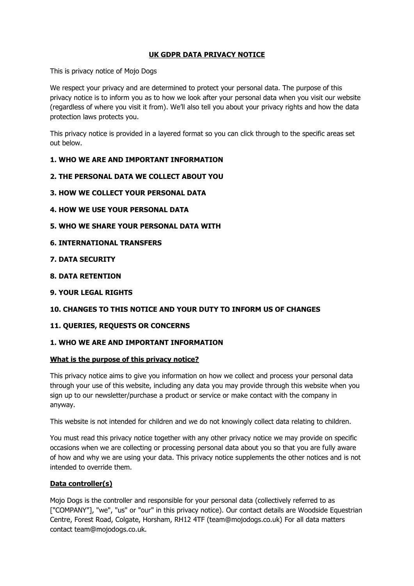# **UK GDPR DATA PRIVACY NOTICE**

This is privacy notice of Mojo Dogs

We respect your privacy and are determined to protect your personal data. The purpose of this privacy notice is to inform you as to how we look after your personal data when you visit our website (regardless of where you visit it from). We'll also tell you about your privacy rights and how the data protection laws protects you.

This privacy notice is provided in a layered format so you can click through to the specific areas set out below.

# **1. WHO WE ARE AND IMPORTANT INFORMATION**

- **2. THE PERSONAL DATA WE COLLECT ABOUT YOU**
- **3. HOW WE COLLECT YOUR PERSONAL DATA**
- **4. HOW WE USE YOUR PERSONAL DATA**
- **5. WHO WE SHARE YOUR PERSONAL DATA WITH**
- **6. INTERNATIONAL TRANSFERS**
- **7. DATA SECURITY**
- **8. DATA RETENTION**
- **9. YOUR LEGAL RIGHTS**

# **10. CHANGES TO THIS NOTICE AND YOUR DUTY TO INFORM US OF CHANGES**

#### **11. QUERIES, REQUESTS OR CONCERNS**

# **1. WHO WE ARE AND IMPORTANT INFORMATION**

#### **What is the purpose of this privacy notice?**

This privacy notice aims to give you information on how we collect and process your personal data through your use of this website, including any data you may provide through this website when you sign up to our newsletter/purchase a product or service or make contact with the company in anyway.

This website is not intended for children and we do not knowingly collect data relating to children.

You must read this privacy notice together with any other privacy notice we may provide on specific occasions when we are collecting or processing personal data about you so that you are fully aware of how and why we are using your data. This privacy notice supplements the other notices and is not intended to override them.

#### **Data controller(s)**

Mojo Dogs is the controller and responsible for your personal data (collectively referred to as ["COMPANY"], "we", "us" or "our" in this privacy notice). Our contact details are Woodside Equestrian Centre, Forest Road, Colgate, Horsham, RH12 4TF (team@mojodogs.co.uk) For all data matters contact team@mojodogs.co.uk.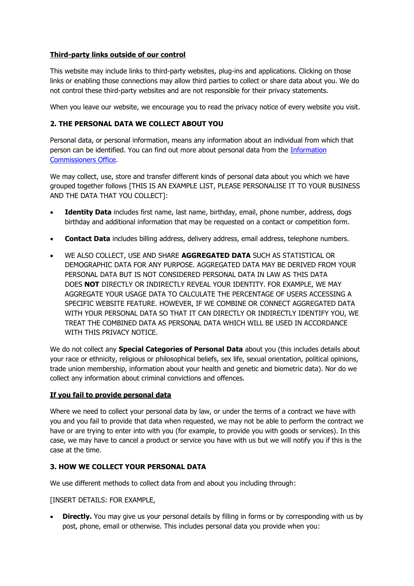# **Third-party links outside of our control**

This website may include links to third-party websites, plug-ins and applications. Clicking on those links or enabling those connections may allow third parties to collect or share data about you. We do not control these third-party websites and are not responsible for their privacy statements.

When you leave our website, we encourage you to read the privacy notice of every website you visit.

# **2. THE PERSONAL DATA WE COLLECT ABOUT YOU**

Personal data, or personal information, means any information about an individual from which that person can be identified. You can find out more about personal data from the [Information](https://ico.org.uk/global/contact-us/)  [Commissioners Office.](https://ico.org.uk/global/contact-us/)

We may collect, use, store and transfer different kinds of personal data about you which we have grouped together follows [THIS IS AN EXAMPLE LIST, PLEASE PERSONALISE IT TO YOUR BUSINESS AND THE DATA THAT YOU COLLECT]:

- **Identity Data** includes first name, last name, birthday, email, phone number, address, dogs birthday and additional information that may be requested on a contact or competition form.
- **Contact Data** includes billing address, delivery address, email address, telephone numbers.
- WE ALSO COLLECT, USE AND SHARE **AGGREGATED DATA** SUCH AS STATISTICAL OR DEMOGRAPHIC DATA FOR ANY PURPOSE. AGGREGATED DATA MAY BE DERIVED FROM YOUR PERSONAL DATA BUT IS NOT CONSIDERED PERSONAL DATA IN LAW AS THIS DATA DOES **NOT** DIRECTLY OR INDIRECTLY REVEAL YOUR IDENTITY. FOR EXAMPLE, WE MAY AGGREGATE YOUR USAGE DATA TO CALCULATE THE PERCENTAGE OF USERS ACCESSING A SPECIFIC WEBSITE FEATURE. HOWEVER, IF WE COMBINE OR CONNECT AGGREGATED DATA WITH YOUR PERSONAL DATA SO THAT IT CAN DIRECTLY OR INDIRECTLY IDENTIFY YOU, WE TREAT THE COMBINED DATA AS PERSONAL DATA WHICH WILL BE USED IN ACCORDANCE WITH THIS PRIVACY NOTICE.

We do not collect any **Special Categories of Personal Data** about you (this includes details about your race or ethnicity, religious or philosophical beliefs, sex life, sexual orientation, political opinions, trade union membership, information about your health and genetic and biometric data). Nor do we collect any information about criminal convictions and offences.

# **If you fail to provide personal data**

Where we need to collect your personal data by law, or under the terms of a contract we have with you and you fail to provide that data when requested, we may not be able to perform the contract we have or are trying to enter into with you (for example, to provide you with goods or services). In this case, we may have to cancel a product or service you have with us but we will notify you if this is the case at the time.

# **3. HOW WE COLLECT YOUR PERSONAL DATA**

We use different methods to collect data from and about you including through:

#### [INSERT DETAILS: FOR EXAMPLE,

**Directly.** You may give us your personal details by filling in forms or by corresponding with us by post, phone, email or otherwise. This includes personal data you provide when you: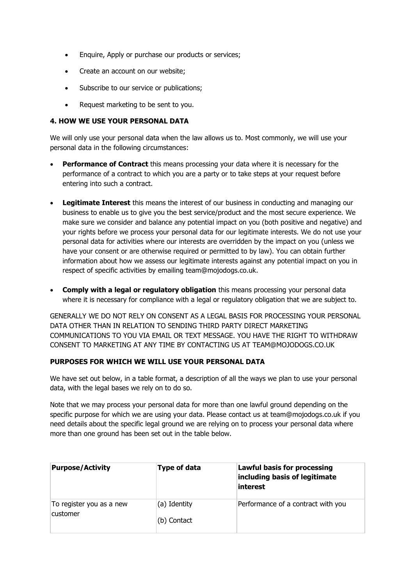- Enquire, Apply or purchase our products or services;
- Create an account on our website;
- Subscribe to our service or publications;
- Request marketing to be sent to you.

### **4. HOW WE USE YOUR PERSONAL DATA**

We will only use your personal data when the law allows us to. Most commonly, we will use your personal data in the following circumstances:

- **Performance of Contract** this means processing your data where it is necessary for the performance of a contract to which you are a party or to take steps at your request before entering into such a contract.
- **Legitimate Interest** this means the interest of our business in conducting and managing our business to enable us to give you the best service/product and the most secure experience. We make sure we consider and balance any potential impact on you (both positive and negative) and your rights before we process your personal data for our legitimate interests. We do not use your personal data for activities where our interests are overridden by the impact on you (unless we have your consent or are otherwise required or permitted to by law). You can obtain further information about how we assess our legitimate interests against any potential impact on you in respect of specific activities by emailing team@mojodogs.co.uk.
- **Comply with a legal or regulatory obligation** this means processing your personal data where it is necessary for compliance with a legal or regulatory obligation that we are subject to.

GENERALLY WE DO NOT RELY ON CONSENT AS A LEGAL BASIS FOR PROCESSING YOUR PERSONAL DATA OTHER THAN IN RELATION TO SENDING THIRD PARTY DIRECT MARKETING COMMUNICATIONS TO YOU VIA EMAIL OR TEXT MESSAGE. YOU HAVE THE RIGHT TO WITHDRAW CONSENT TO MARKETING AT ANY TIME BY CONTACTING US AT TEAM@MOJODOGS.CO.UK

# **PURPOSES FOR WHICH WE WILL USE YOUR PERSONAL DATA**

We have set out below, in a table format, a description of all the ways we plan to use your personal data, with the legal bases we rely on to do so.

Note that we may process your personal data for more than one lawful ground depending on the specific purpose for which we are using your data. Please contact us at team@mojodogs.co.uk if you need details about the specific legal ground we are relying on to process your personal data where more than one ground has been set out in the table below.

| <b>Purpose/Activity</b>              | Type of data                | <b>Lawful basis for processing</b><br>including basis of legitimate<br>interest |
|--------------------------------------|-----------------------------|---------------------------------------------------------------------------------|
| To register you as a new<br>customer | (a) Identity<br>(b) Contact | Performance of a contract with you                                              |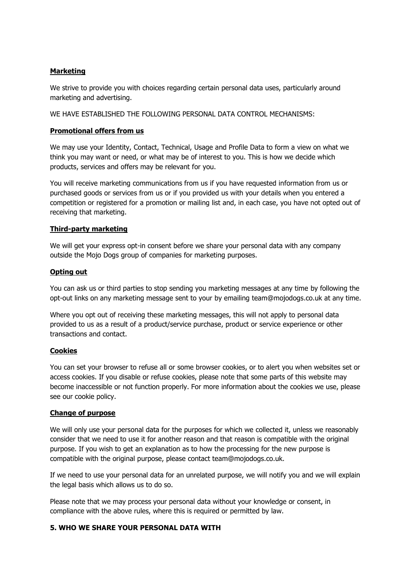### **Marketing**

We strive to provide you with choices regarding certain personal data uses, particularly around marketing and advertising.

WE HAVE ESTABLISHED THE FOLLOWING PERSONAL DATA CONTROL MECHANISMS:

### **Promotional offers from us**

We may use your Identity, Contact, Technical, Usage and Profile Data to form a view on what we think you may want or need, or what may be of interest to you. This is how we decide which products, services and offers may be relevant for you.

You will receive marketing communications from us if you have requested information from us or purchased goods or services from us or if you provided us with your details when you entered a competition or registered for a promotion or mailing list and, in each case, you have not opted out of receiving that marketing.

#### **Third-party marketing**

We will get your express opt-in consent before we share your personal data with any company outside the Mojo Dogs group of companies for marketing purposes.

### **Opting out**

You can ask us or third parties to stop sending you marketing messages at any time by following the opt-out links on any marketing message sent to your by emailing team@mojodogs.co.uk at any time.

Where you opt out of receiving these marketing messages, this will not apply to personal data provided to us as a result of a product/service purchase, product or service experience or other transactions and contact.

#### **Cookies**

You can set your browser to refuse all or some browser cookies, or to alert you when websites set or access cookies. If you disable or refuse cookies, please note that some parts of this website may become inaccessible or not function properly. For more information about the cookies we use, please see our cookie policy.

#### **Change of purpose**

We will only use your personal data for the purposes for which we collected it, unless we reasonably consider that we need to use it for another reason and that reason is compatible with the original purpose. If you wish to get an explanation as to how the processing for the new purpose is compatible with the original purpose, please contact team@mojodogs.co.uk.

If we need to use your personal data for an unrelated purpose, we will notify you and we will explain the legal basis which allows us to do so.

Please note that we may process your personal data without your knowledge or consent, in compliance with the above rules, where this is required or permitted by law.

#### **5. WHO WE SHARE YOUR PERSONAL DATA WITH**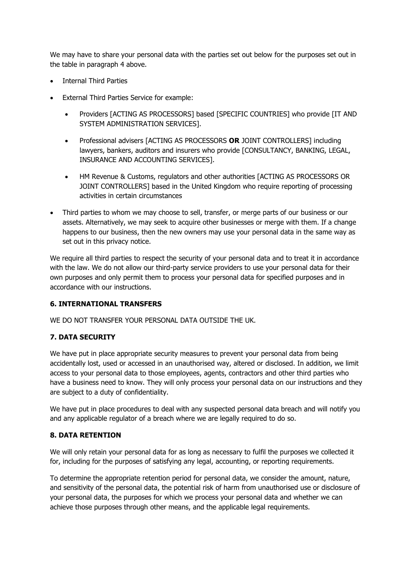We may have to share your personal data with the parties set out below for the purposes set out in the table in paragraph 4 above.

- Internal Third Parties
- External Third Parties Service for example:
	- Providers [ACTING AS PROCESSORS] based [SPECIFIC COUNTRIES] who provide [IT AND SYSTEM ADMINISTRATION SERVICES].
	- Professional advisers [ACTING AS PROCESSORS **OR** JOINT CONTROLLERS] including lawyers, bankers, auditors and insurers who provide [CONSULTANCY, BANKING, LEGAL, INSURANCE AND ACCOUNTING SERVICES].
	- HM Revenue & Customs, regulators and other authorities [ACTING AS PROCESSORS OR JOINT CONTROLLERS] based in the United Kingdom who require reporting of processing activities in certain circumstances
- Third parties to whom we may choose to sell, transfer, or merge parts of our business or our assets. Alternatively, we may seek to acquire other businesses or merge with them. If a change happens to our business, then the new owners may use your personal data in the same way as set out in this privacy notice.

We require all third parties to respect the security of your personal data and to treat it in accordance with the law. We do not allow our third-party service providers to use your personal data for their own purposes and only permit them to process your personal data for specified purposes and in accordance with our instructions.

# **6. INTERNATIONAL TRANSFERS**

WE DO NOT TRANSFER YOUR PERSONAL DATA OUTSIDE THE UK.

# **7. DATA SECURITY**

We have put in place appropriate security measures to prevent your personal data from being accidentally lost, used or accessed in an unauthorised way, altered or disclosed. In addition, we limit access to your personal data to those employees, agents, contractors and other third parties who have a business need to know. They will only process your personal data on our instructions and they are subject to a duty of confidentiality.

We have put in place procedures to deal with any suspected personal data breach and will notify you and any applicable regulator of a breach where we are legally required to do so.

# **8. DATA RETENTION**

We will only retain your personal data for as long as necessary to fulfil the purposes we collected it for, including for the purposes of satisfying any legal, accounting, or reporting requirements.

To determine the appropriate retention period for personal data, we consider the amount, nature, and sensitivity of the personal data, the potential risk of harm from unauthorised use or disclosure of your personal data, the purposes for which we process your personal data and whether we can achieve those purposes through other means, and the applicable legal requirements.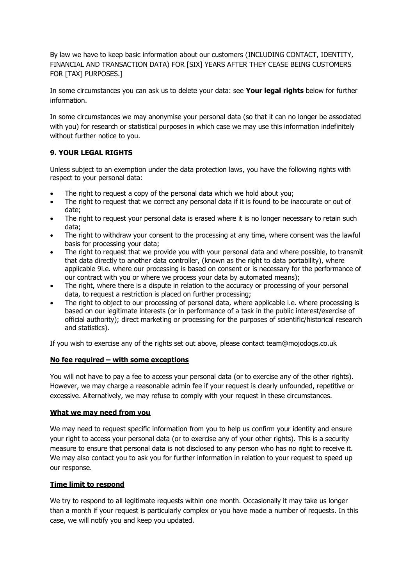By law we have to keep basic information about our customers (INCLUDING CONTACT, IDENTITY, FINANCIAL AND TRANSACTION DATA) FOR [SIX] YEARS AFTER THEY CEASE BEING CUSTOMERS FOR [TAX] PURPOSES.]

In some circumstances you can ask us to delete your data: see **Your legal rights** below for further information.

In some circumstances we may anonymise your personal data (so that it can no longer be associated with you) for research or statistical purposes in which case we may use this information indefinitely without further notice to you.

# **9. YOUR LEGAL RIGHTS**

Unless subject to an exemption under the data protection laws, you have the following rights with respect to your personal data:

- The right to request a copy of the personal data which we hold about you;
- The right to request that we correct any personal data if it is found to be inaccurate or out of date;
- The right to request your personal data is erased where it is no longer necessary to retain such data;
- The right to withdraw your consent to the processing at any time, where consent was the lawful basis for processing your data;
- The right to request that we provide you with your personal data and where possible, to transmit that data directly to another data controller, (known as the right to data portability), where applicable 9i.e. where our processing is based on consent or is necessary for the performance of our contract with you or where we process your data by automated means);
- The right, where there is a dispute in relation to the accuracy or processing of your personal data, to request a restriction is placed on further processing;
- The right to object to our processing of personal data, where applicable i.e. where processing is based on our legitimate interests (or in performance of a task in the public interest/exercise of official authority); direct marketing or processing for the purposes of scientific/historical research and statistics).

If you wish to exercise any of the rights set out above, please contact team@mojodogs.co.uk

# **No fee required – with some exceptions**

You will not have to pay a fee to access your personal data (or to exercise any of the other rights). However, we may charge a reasonable admin fee if your request is clearly unfounded, repetitive or excessive. Alternatively, we may refuse to comply with your request in these circumstances.

#### **What we may need from you**

We may need to request specific information from you to help us confirm your identity and ensure your right to access your personal data (or to exercise any of your other rights). This is a security measure to ensure that personal data is not disclosed to any person who has no right to receive it. We may also contact you to ask you for further information in relation to your request to speed up our response.

# **Time limit to respond**

We try to respond to all legitimate requests within one month. Occasionally it may take us longer than a month if your request is particularly complex or you have made a number of requests. In this case, we will notify you and keep you updated.